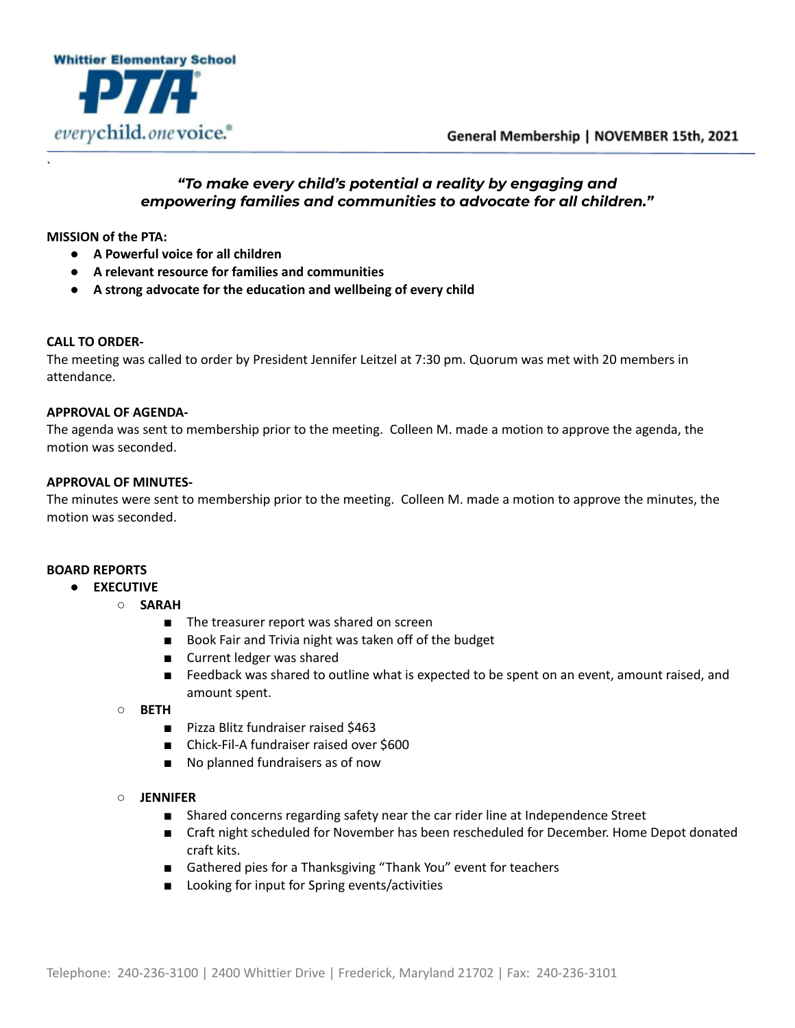

# *"To make every child's potential a reality by engaging and empowering families and communities to advocate for all children."*

**MISSION of the PTA:**

`

- **● A Powerful voice for all children**
- **● A relevant resource for families and communities**
- **● A strong advocate for the education and wellbeing of every child**

#### **CALL TO ORDER-**

The meeting was called to order by President Jennifer Leitzel at 7:30 pm. Quorum was met with 20 members in attendance.

#### **APPROVAL OF AGENDA-**

The agenda was sent to membership prior to the meeting. Colleen M. made a motion to approve the agenda, the motion was seconded.

# **APPROVAL OF MINUTES-**

The minutes were sent to membership prior to the meeting. Colleen M. made a motion to approve the minutes, the motion was seconded.

# **BOARD REPORTS**

- **● EXECUTIVE**
	- **○ SARAH**
		- The treasurer report was shared on screen
		- Book Fair and Trivia night was taken off of the budget
		- Current ledger was shared
		- Feedback was shared to outline what is expected to be spent on an event, amount raised, and amount spent.
	- **○ BETH**
		- Pizza Blitz fundraiser raised \$463
		- Chick-Fil-A fundraiser raised over \$600
		- No planned fundraisers as of now

#### **○ JENNIFER**

- Shared concerns regarding safety near the car rider line at Independence Street
- Craft night scheduled for November has been rescheduled for December. Home Depot donated craft kits.
- Gathered pies for a Thanksgiving "Thank You" event for teachers
- Looking for input for Spring events/activities